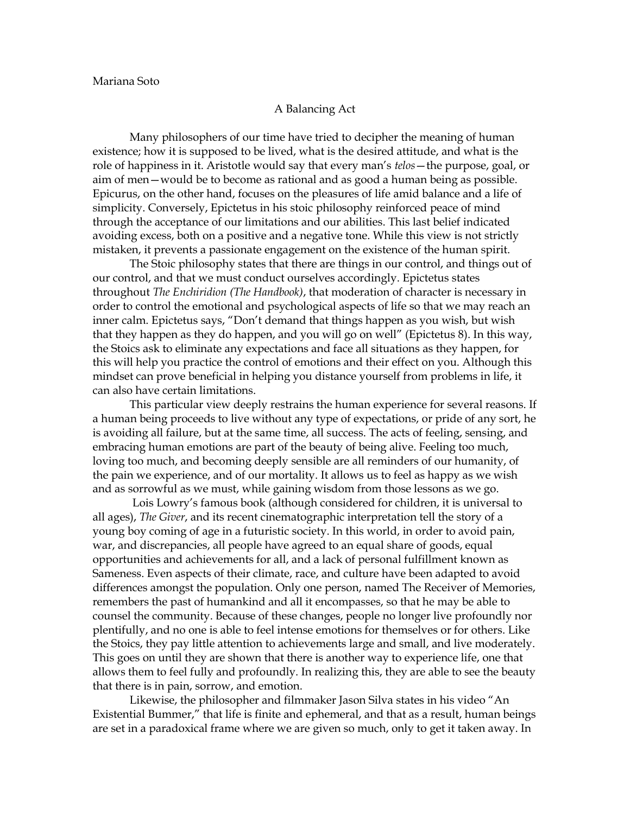## A Balancing Act

Many philosophers of our time have tried to decipher the meaning of human existence; how it is supposed to be lived, what is the desired attitude, and what is the role of happiness in it. Aristotle would say that every man's *telos*—the purpose, goal, or aim of men—would be to become as rational and as good a human being as possible. Epicurus, on the other hand, focuses on the pleasures of life amid balance and a life of simplicity. Conversely, Epictetus in his stoic philosophy reinforced peace of mind through the acceptance of our limitations and our abilities. This last belief indicated avoiding excess, both on a positive and a negative tone. While this view is not strictly mistaken, it prevents a passionate engagement on the existence of the human spirit.

The Stoic philosophy states that there are things in our control, and things out of our control, and that we must conduct ourselves accordingly. Epictetus states throughout *The Enchiridion (The Handbook)*, that moderation of character is necessary in order to control the emotional and psychological aspects of life so that we may reach an inner calm. Epictetus says, "Don't demand that things happen as you wish, but wish that they happen as they do happen, and you will go on well" (Epictetus 8). In this way, the Stoics ask to eliminate any expectations and face all situations as they happen, for this will help you practice the control of emotions and their effect on you. Although this mindset can prove beneficial in helping you distance yourself from problems in life, it can also have certain limitations.

This particular view deeply restrains the human experience for several reasons. If a human being proceeds to live without any type of expectations, or pride of any sort, he is avoiding all failure, but at the same time, all success. The acts of feeling, sensing, and embracing human emotions are part of the beauty of being alive. Feeling too much, loving too much, and becoming deeply sensible are all reminders of our humanity, of the pain we experience, and of our mortality. It allows us to feel as happy as we wish and as sorrowful as we must, while gaining wisdom from those lessons as we go.

Lois Lowry's famous book (although considered for children, it is universal to all ages), *The Giver*, and its recent cinematographic interpretation tell the story of a young boy coming of age in a futuristic society. In this world, in order to avoid pain, war, and discrepancies, all people have agreed to an equal share of goods, equal opportunities and achievements for all, and a lack of personal fulfillment known as Sameness. Even aspects of their climate, race, and culture have been adapted to avoid differences amongst the population. Only one person, named The Receiver of Memories, remembers the past of humankind and all it encompasses, so that he may be able to counsel the community. Because of these changes, people no longer live profoundly nor plentifully, and no one is able to feel intense emotions for themselves or for others. Like the Stoics, they pay little attention to achievements large and small, and live moderately. This goes on until they are shown that there is another way to experience life, one that allows them to feel fully and profoundly. In realizing this, they are able to see the beauty that there is in pain, sorrow, and emotion.

Likewise, the philosopher and filmmaker Jason Silva states in his video "An Existential Bummer," that life is finite and ephemeral, and that as a result, human beings are set in a paradoxical frame where we are given so much, only to get it taken away. In